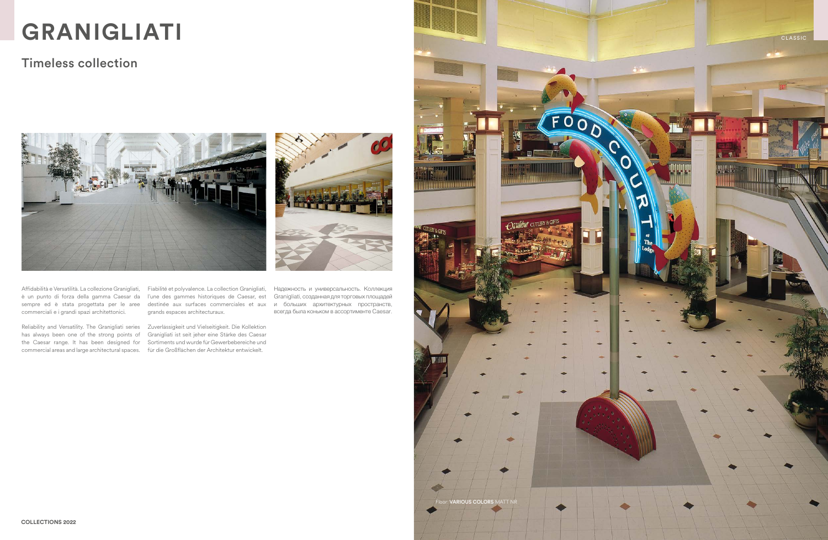Affidabilità e Versatilità. La collezione Granigliati, è un punto di forza della gamma Caesar da l'une des gammes historiques de Caesar, est sempre ed è stata progettata per le aree destinée aux surfaces commerciales et aux и больших архитектурных пространств, commerciali e i grandi spazi architettonici.

Fiabilité et polyvalence. La collection Granigliati, grands espaces architecturaux.

Reliability and Versatility. The Granigliati series Zuverlässigkeit und Vielseitigkeit. Die Kollektion has always been one of the strong points of Granigliati ist seit jeher eine Stärke des Caesar the Caesar range. It has been designed for Sortiments und wurde für Gewerbebereiche und commercial areas and large architectural spaces. für die Großflächen der Architektur entwickelt.



Надежность и универсальность. Коллекция Granigliati, созданная для торговых площадей всегда была коньком в ассортименте Caesar.

## Timeless collection

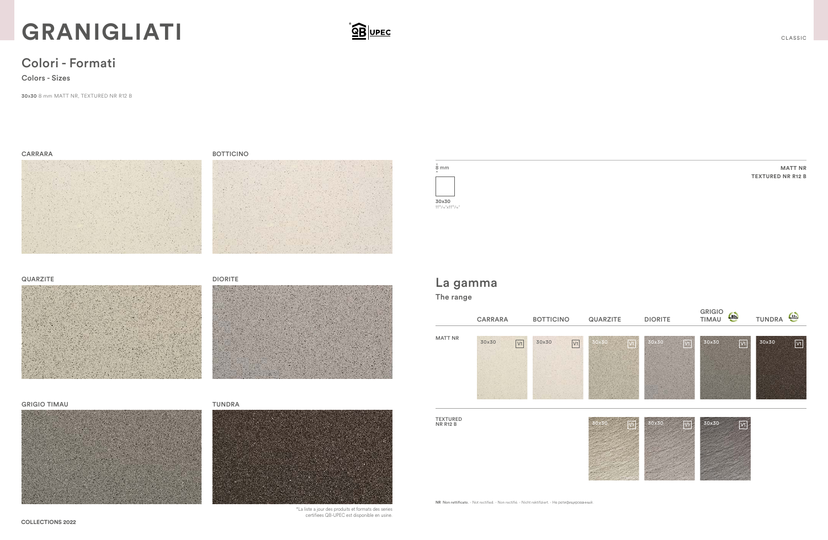30x30 8 mm MATT NR, TEXTURED NR R12 B

## Colori - Formati

Colors - Sizes



\*La liste a jour des produits et formats des series certifiees QB-UPEC est disponible en usine.

# **GRANIGLIATI**

**MATT NR**

**TEXTURED NR R12 B**



#### QUARZITE DIORITE







#### GRIGIO TIMAU **TUNDRA**



## La gamma The range



TEXTURED<br>NR R12 B



NR Non rettificato. - Not rectified. - Non rectifié. - Nicht rektifiziert. - Не ретифицированный.

#### BOTTICINO



 $\frac{1}{2}$   $\frac{1}{2}$   $\frac{1}{2}$   $\frac{1}{2}$   $\frac{1}{2}$   $\frac{1}{2}$   $\frac{1}{2}$   $\frac{1}{2}$   $\frac{1}{2}$   $\frac{1}{2}$   $\frac{1}{2}$   $\frac{1}{2}$   $\frac{1}{2}$   $\frac{1}{2}$   $\frac{1}{2}$   $\frac{1}{2}$   $\frac{1}{2}$   $\frac{1}{2}$   $\frac{1}{2}$   $\frac{1}{2}$   $\frac{1}{2}$   $\frac{1}{2}$ 

### CARRARA



CLASSIC